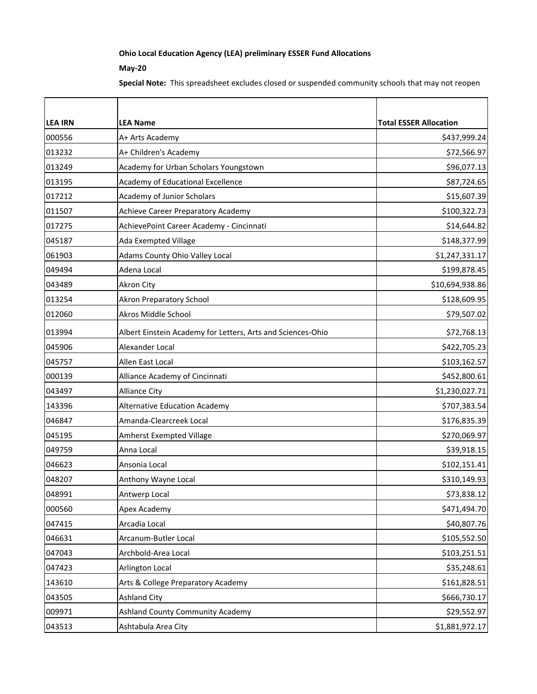## **Ohio Local Education Agency (LEA) preliminary ESSER Fund Allocations**

## **May-20**

**Special Note:** This spreadsheet excludes closed or suspended community schools that may not reopen

| <b>LEA IRN</b> | <b>LEA Name</b>                                             | <b>Total ESSER Allocation</b> |
|----------------|-------------------------------------------------------------|-------------------------------|
| 000556         | A+ Arts Academy                                             | \$437,999.24                  |
| 013232         | A+ Children's Academy                                       | \$72,566.97                   |
| 013249         | Academy for Urban Scholars Youngstown                       | \$96,077.13                   |
| 013195         | Academy of Educational Excellence                           | \$87,724.65                   |
| 017212         | Academy of Junior Scholars                                  | \$15,607.39                   |
| 011507         | Achieve Career Preparatory Academy                          | \$100,322.73                  |
| 017275         | AchievePoint Career Academy - Cincinnati                    | \$14,644.82                   |
| 045187         | Ada Exempted Village                                        | \$148,377.99                  |
| 061903         | Adams County Ohio Valley Local                              | \$1,247,331.17                |
| 049494         | Adena Local                                                 | \$199,878.45                  |
| 043489         | <b>Akron City</b>                                           | \$10,694,938.86               |
| 013254         | <b>Akron Preparatory School</b>                             | \$128,609.95                  |
| 012060         | Akros Middle School                                         | \$79,507.02                   |
| 013994         | Albert Einstein Academy for Letters, Arts and Sciences-Ohio | \$72,768.13                   |
| 045906         | Alexander Local                                             | \$422,705.23                  |
| 045757         | Allen East Local                                            | \$103,162.57                  |
| 000139         | Alliance Academy of Cincinnati                              | \$452,800.61                  |
| 043497         | <b>Alliance City</b>                                        | \$1,230,027.71                |
| 143396         | <b>Alternative Education Academy</b>                        | \$707,383.54                  |
| 046847         | Amanda-Clearcreek Local                                     | \$176,835.39                  |
| 045195         | Amherst Exempted Village                                    | \$270,069.97                  |
| 049759         | Anna Local                                                  | \$39,918.15                   |
| 046623         | Ansonia Local                                               | \$102,151.41                  |
| 048207         | Anthony Wayne Local                                         | \$310,149.93                  |
| 048991         | Antwerp Local                                               | \$73,838.12                   |
| 000560         | Apex Academy                                                | \$471,494.70                  |
| 047415         | Arcadia Local                                               | \$40,807.76                   |
| 046631         | Arcanum-Butler Local                                        | \$105,552.50                  |
| 047043         | Archbold-Area Local                                         | \$103,251.51                  |
| 047423         | Arlington Local                                             | \$35,248.61                   |
| 143610         | Arts & College Preparatory Academy                          | \$161,828.51                  |
| 043505         | <b>Ashland City</b>                                         | \$666,730.17                  |
| 009971         | Ashland County Community Academy                            | \$29,552.97                   |
| 043513         | Ashtabula Area City                                         | \$1,881,972.17                |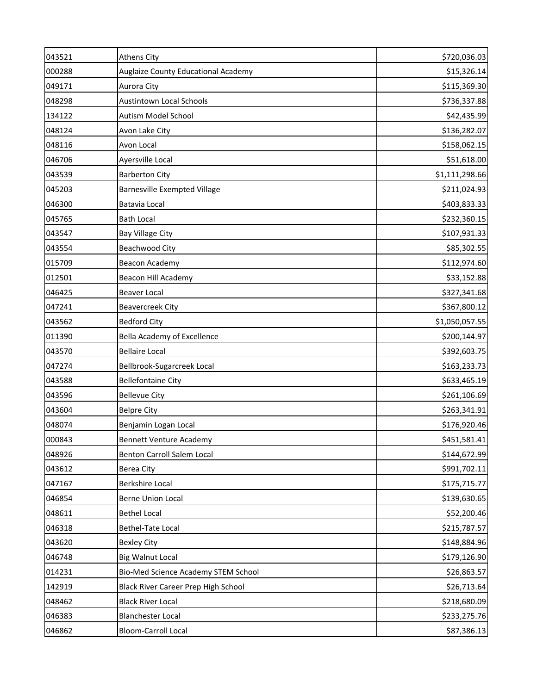| 043521 | <b>Athens City</b>                  | \$720,036.03   |
|--------|-------------------------------------|----------------|
| 000288 | Auglaize County Educational Academy | \$15,326.14    |
| 049171 | Aurora City                         | \$115,369.30   |
| 048298 | <b>Austintown Local Schools</b>     | \$736,337.88   |
| 134122 | Autism Model School                 | \$42,435.99    |
| 048124 | Avon Lake City                      | \$136,282.07   |
| 048116 | Avon Local                          | \$158,062.15   |
| 046706 | Ayersville Local                    | \$51,618.00    |
| 043539 | <b>Barberton City</b>               | \$1,111,298.66 |
| 045203 | <b>Barnesville Exempted Village</b> | \$211,024.93   |
| 046300 | Batavia Local                       | \$403,833.33   |
| 045765 | <b>Bath Local</b>                   | \$232,360.15   |
| 043547 | <b>Bay Village City</b>             | \$107,931.33   |
| 043554 | <b>Beachwood City</b>               | \$85,302.55    |
| 015709 | <b>Beacon Academy</b>               | \$112,974.60   |
| 012501 | <b>Beacon Hill Academy</b>          | \$33,152.88    |
| 046425 | <b>Beaver Local</b>                 | \$327,341.68   |
| 047241 | <b>Beavercreek City</b>             | \$367,800.12   |
| 043562 | <b>Bedford City</b>                 | \$1,050,057.55 |
| 011390 | <b>Bella Academy of Excellence</b>  | \$200,144.97   |
| 043570 | <b>Bellaire Local</b>               | \$392,603.75   |
| 047274 | Bellbrook-Sugarcreek Local          | \$163,233.73   |
| 043588 | <b>Bellefontaine City</b>           | \$633,465.19   |
| 043596 | <b>Bellevue City</b>                | \$261,106.69   |
| 043604 | <b>Belpre City</b>                  | \$263,341.91   |
| 048074 | Benjamin Logan Local                | \$176,920.46   |
| 000843 | <b>Bennett Venture Academy</b>      | \$451,581.41   |
| 048926 | Benton Carroll Salem Local          | \$144,672.99   |
| 043612 | Berea City                          | \$991,702.11   |
| 047167 | <b>Berkshire Local</b>              | \$175,715.77   |
| 046854 | <b>Berne Union Local</b>            | \$139,630.65   |
| 048611 | <b>Bethel Local</b>                 | \$52,200.46    |
| 046318 | Bethel-Tate Local                   | \$215,787.57   |
| 043620 | <b>Bexley City</b>                  | \$148,884.96   |
| 046748 | <b>Big Walnut Local</b>             | \$179,126.90   |
| 014231 | Bio-Med Science Academy STEM School | \$26,863.57    |
| 142919 | Black River Career Prep High School | \$26,713.64    |
| 048462 | <b>Black River Local</b>            | \$218,680.09   |
| 046383 | <b>Blanchester Local</b>            | \$233,275.76   |
| 046862 | <b>Bloom-Carroll Local</b>          | \$87,386.13    |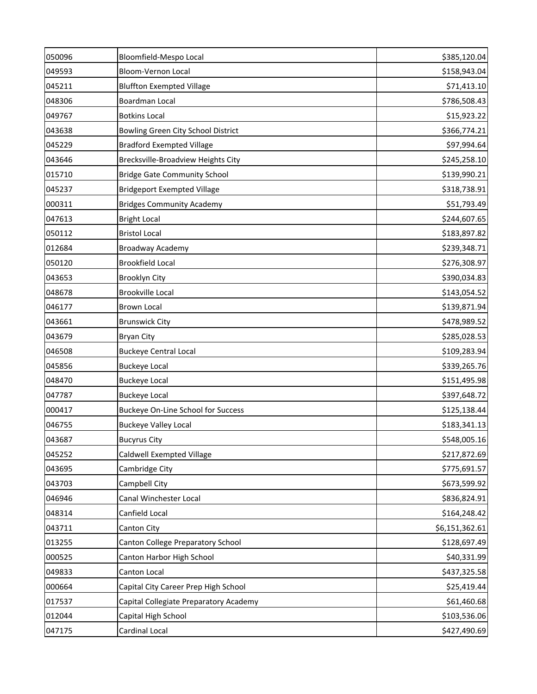| 050096 | Bloomfield-Mespo Local                    | \$385,120.04   |
|--------|-------------------------------------------|----------------|
| 049593 | Bloom-Vernon Local                        | \$158,943.04   |
| 045211 | <b>Bluffton Exempted Village</b>          | \$71,413.10    |
| 048306 | Boardman Local                            | \$786,508.43   |
| 049767 | <b>Botkins Local</b>                      | \$15,923.22    |
| 043638 | <b>Bowling Green City School District</b> | \$366,774.21   |
| 045229 | <b>Bradford Exempted Village</b>          | \$97,994.64    |
| 043646 | Brecksville-Broadview Heights City        | \$245,258.10   |
| 015710 | <b>Bridge Gate Community School</b>       | \$139,990.21   |
| 045237 | <b>Bridgeport Exempted Village</b>        | \$318,738.91   |
| 000311 | <b>Bridges Community Academy</b>          | \$51,793.49    |
| 047613 | <b>Bright Local</b>                       | \$244,607.65   |
| 050112 | <b>Bristol Local</b>                      | \$183,897.82   |
| 012684 | Broadway Academy                          | \$239,348.71   |
| 050120 | <b>Brookfield Local</b>                   | \$276,308.97   |
| 043653 | Brooklyn City                             | \$390,034.83   |
| 048678 | <b>Brookville Local</b>                   | \$143,054.52   |
| 046177 | <b>Brown Local</b>                        | \$139,871.94   |
| 043661 | <b>Brunswick City</b>                     | \$478,989.52   |
| 043679 | <b>Bryan City</b>                         | \$285,028.53   |
| 046508 | <b>Buckeye Central Local</b>              | \$109,283.94   |
| 045856 | <b>Buckeye Local</b>                      | \$339,265.76   |
| 048470 | <b>Buckeye Local</b>                      | \$151,495.98   |
| 047787 | <b>Buckeye Local</b>                      | \$397,648.72   |
| 000417 | Buckeye On-Line School for Success        | \$125,138.44   |
| 046755 | <b>Buckeye Valley Local</b>               | \$183,341.13   |
| 043687 | <b>Bucyrus City</b>                       | \$548,005.16   |
| 045252 | Caldwell Exempted Village                 | \$217,872.69   |
| 043695 | Cambridge City                            | \$775,691.57   |
| 043703 | Campbell City                             | \$673,599.92   |
| 046946 | Canal Winchester Local                    | \$836,824.91   |
| 048314 | Canfield Local                            | \$164,248.42   |
| 043711 | Canton City                               | \$6,151,362.61 |
| 013255 | Canton College Preparatory School         | \$128,697.49   |
| 000525 | Canton Harbor High School                 | \$40,331.99    |
| 049833 | Canton Local                              | \$437,325.58   |
| 000664 | Capital City Career Prep High School      | \$25,419.44    |
| 017537 | Capital Collegiate Preparatory Academy    | \$61,460.68    |
| 012044 | Capital High School                       | \$103,536.06   |
| 047175 | Cardinal Local                            | \$427,490.69   |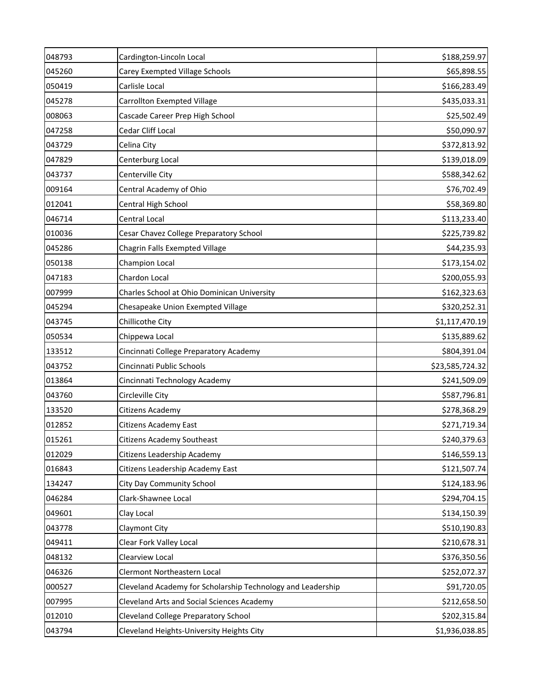| 048793 | Cardington-Lincoln Local                                    | \$188,259.97    |
|--------|-------------------------------------------------------------|-----------------|
| 045260 | Carey Exempted Village Schools                              | \$65,898.55     |
| 050419 | Carlisle Local                                              | \$166,283.49    |
| 045278 | Carrollton Exempted Village                                 | \$435,033.31    |
| 008063 | Cascade Career Prep High School                             | \$25,502.49     |
| 047258 | Cedar Cliff Local                                           | \$50,090.97     |
| 043729 | Celina City                                                 | \$372,813.92    |
| 047829 | Centerburg Local                                            | \$139,018.09    |
| 043737 | Centerville City                                            | \$588,342.62    |
| 009164 | Central Academy of Ohio                                     | \$76,702.49     |
| 012041 | Central High School                                         | \$58,369.80     |
| 046714 | Central Local                                               | \$113,233.40    |
| 010036 | Cesar Chavez College Preparatory School                     | \$225,739.82    |
| 045286 | Chagrin Falls Exempted Village                              | \$44,235.93     |
| 050138 | Champion Local                                              | \$173,154.02    |
| 047183 | Chardon Local                                               | \$200,055.93    |
| 007999 | Charles School at Ohio Dominican University                 | \$162,323.63    |
| 045294 | Chesapeake Union Exempted Village                           | \$320,252.31    |
| 043745 | Chillicothe City                                            | \$1,117,470.19  |
| 050534 | Chippewa Local                                              | \$135,889.62    |
| 133512 | Cincinnati College Preparatory Academy                      | \$804,391.04    |
| 043752 | Cincinnati Public Schools                                   | \$23,585,724.32 |
| 013864 | Cincinnati Technology Academy                               | \$241,509.09    |
| 043760 | Circleville City                                            | \$587,796.81    |
| 133520 | Citizens Academy                                            | \$278,368.29    |
| 012852 | Citizens Academy East                                       | \$271,719.34    |
| 015261 | Citizens Academy Southeast                                  | \$240,379.63    |
| 012029 | Citizens Leadership Academy                                 | \$146,559.13    |
| 016843 | Citizens Leadership Academy East                            | \$121,507.74    |
| 134247 | City Day Community School                                   | \$124,183.96    |
| 046284 | Clark-Shawnee Local                                         | \$294,704.15    |
| 049601 | Clay Local                                                  | \$134,150.39    |
| 043778 | Claymont City                                               | \$510,190.83    |
| 049411 | Clear Fork Valley Local                                     | \$210,678.31    |
| 048132 | Clearview Local                                             | \$376,350.56    |
| 046326 | Clermont Northeastern Local                                 | \$252,072.37    |
| 000527 | Cleveland Academy for Scholarship Technology and Leadership | \$91,720.05     |
| 007995 | Cleveland Arts and Social Sciences Academy                  | \$212,658.50    |
| 012010 | <b>Cleveland College Preparatory School</b>                 | \$202,315.84    |
| 043794 | Cleveland Heights-University Heights City                   | \$1,936,038.85  |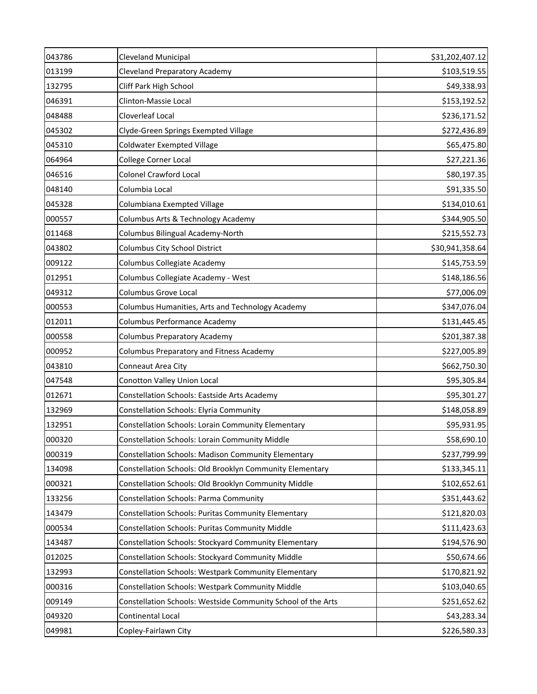| 043786 | <b>Cleveland Municipal</b>                                   | \$31,202,407.12 |
|--------|--------------------------------------------------------------|-----------------|
| 013199 | <b>Cleveland Preparatory Academy</b>                         | \$103,519.55    |
| 132795 | Cliff Park High School                                       | \$49,338.93     |
| 046391 | Clinton-Massie Local                                         | \$153,192.52    |
| 048488 | Cloverleaf Local                                             | \$236,171.52    |
| 045302 | Clyde-Green Springs Exempted Village                         | \$272,436.89    |
| 045310 | Coldwater Exempted Village                                   | \$65,475.80     |
| 064964 | College Corner Local                                         | \$27,221.36     |
| 046516 | <b>Colonel Crawford Local</b>                                | \$80,197.35     |
| 048140 | Columbia Local                                               | \$91,335.50     |
| 045328 | Columbiana Exempted Village                                  | \$134,010.61    |
| 000557 | Columbus Arts & Technology Academy                           | \$344,905.50    |
| 011468 | Columbus Bilingual Academy-North                             | \$215,552.73    |
| 043802 | Columbus City School District                                | \$30,941,358.64 |
| 009122 | Columbus Collegiate Academy                                  | \$145,753.59    |
| 012951 | Columbus Collegiate Academy - West                           | \$148,186.56    |
| 049312 | Columbus Grove Local                                         | \$77,006.09     |
| 000553 | Columbus Humanities, Arts and Technology Academy             | \$347,076.04    |
| 012011 | Columbus Performance Academy                                 | \$131,445.45    |
| 000558 | Columbus Preparatory Academy                                 | \$201,387.38    |
| 000952 | Columbus Preparatory and Fitness Academy                     | \$227,005.89    |
| 043810 | Conneaut Area City                                           | \$662,750.30    |
| 047548 | Conotton Valley Union Local                                  | \$95,305.84     |
| 012671 | Constellation Schools: Eastside Arts Academy                 | \$95,301.27     |
| 132969 | Constellation Schools: Elyria Community                      | \$148,058.89    |
| 132951 | Constellation Schools: Lorain Community Elementary           | \$95,931.95     |
| 000320 | Constellation Schools: Lorain Community Middle               | \$58,690.10     |
| 000319 | Constellation Schools: Madison Community Elementary          | \$237,799.99    |
| 134098 | Constellation Schools: Old Brooklyn Community Elementary     | \$133,345.11    |
| 000321 | Constellation Schools: Old Brooklyn Community Middle         | \$102,652.61    |
| 133256 | Constellation Schools: Parma Community                       | \$351,443.62    |
| 143479 | Constellation Schools: Puritas Community Elementary          | \$121,820.03    |
| 000534 | Constellation Schools: Puritas Community Middle              | \$111,423.63    |
| 143487 | Constellation Schools: Stockyard Community Elementary        | \$194,576.90    |
| 012025 | Constellation Schools: Stockyard Community Middle            | \$50,674.66     |
| 132993 | Constellation Schools: Westpark Community Elementary         | \$170,821.92    |
| 000316 | Constellation Schools: Westpark Community Middle             | \$103,040.65    |
| 009149 | Constellation Schools: Westside Community School of the Arts | \$251,652.62    |
| 049320 | Continental Local                                            | \$43,283.34     |
| 049981 | Copley-Fairlawn City                                         | \$226,580.33    |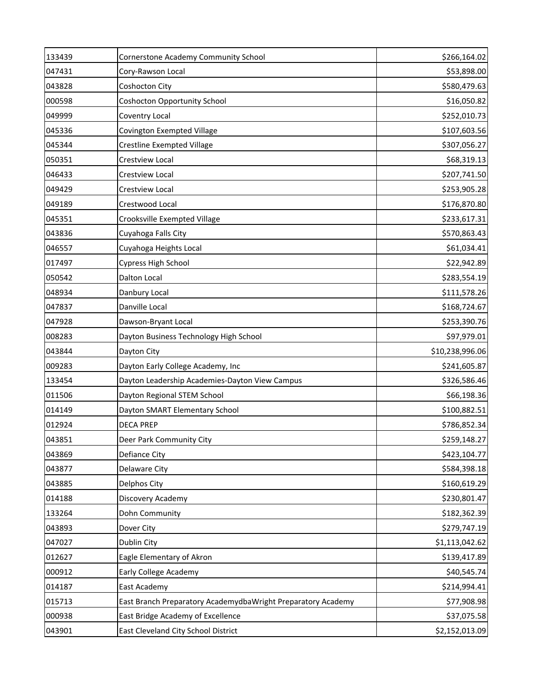| 133439 | Cornerstone Academy Community School                         | \$266,164.02    |
|--------|--------------------------------------------------------------|-----------------|
| 047431 | Cory-Rawson Local                                            | \$53,898.00     |
| 043828 | Coshocton City                                               | \$580,479.63    |
| 000598 | <b>Coshocton Opportunity School</b>                          | \$16,050.82     |
| 049999 | Coventry Local                                               | \$252,010.73    |
| 045336 | Covington Exempted Village                                   | \$107,603.56    |
| 045344 | <b>Crestline Exempted Village</b>                            | \$307,056.27    |
| 050351 | Crestview Local                                              | \$68,319.13     |
| 046433 | Crestview Local                                              | \$207,741.50    |
| 049429 | Crestview Local                                              | \$253,905.28    |
| 049189 | Crestwood Local                                              | \$176,870.80    |
| 045351 | Crooksville Exempted Village                                 | \$233,617.31    |
| 043836 | Cuyahoga Falls City                                          | \$570,863.43    |
| 046557 | Cuyahoga Heights Local                                       | \$61,034.41     |
| 017497 | Cypress High School                                          | \$22,942.89     |
| 050542 | Dalton Local                                                 | \$283,554.19    |
| 048934 | Danbury Local                                                | \$111,578.26    |
| 047837 | Danville Local                                               | \$168,724.67    |
| 047928 | Dawson-Bryant Local                                          | \$253,390.76    |
| 008283 | Dayton Business Technology High School                       | \$97,979.01     |
| 043844 | Dayton City                                                  | \$10,238,996.06 |
| 009283 | Dayton Early College Academy, Inc                            | \$241,605.87    |
| 133454 | Dayton Leadership Academies-Dayton View Campus               | \$326,586.46    |
| 011506 | Dayton Regional STEM School                                  | \$66,198.36     |
| 014149 | Dayton SMART Elementary School                               | \$100,882.51    |
| 012924 | <b>DECA PREP</b>                                             | \$786,852.34    |
| 043851 | Deer Park Community City                                     | \$259,148.27    |
| 043869 | Defiance City                                                | \$423,104.77    |
| 043877 | Delaware City                                                | \$584,398.18    |
| 043885 | Delphos City                                                 | \$160,619.29    |
| 014188 | Discovery Academy                                            | \$230,801.47    |
| 133264 | Dohn Community                                               | \$182,362.39    |
| 043893 | Dover City                                                   | \$279,747.19    |
| 047027 | Dublin City                                                  | \$1,113,042.62  |
| 012627 | Eagle Elementary of Akron                                    | \$139,417.89    |
| 000912 | Early College Academy                                        | \$40,545.74     |
| 014187 | East Academy                                                 | \$214,994.41    |
| 015713 | East Branch Preparatory AcademydbaWright Preparatory Academy | \$77,908.98     |
| 000938 | East Bridge Academy of Excellence                            | \$37,075.58     |
| 043901 | East Cleveland City School District                          | \$2,152,013.09  |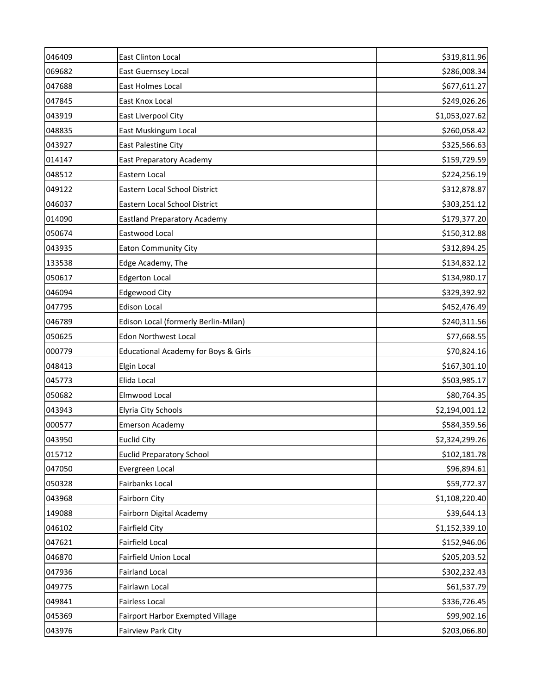| 046409 | <b>East Clinton Local</b>                       | \$319,811.96   |
|--------|-------------------------------------------------|----------------|
| 069682 | East Guernsey Local                             | \$286,008.34   |
| 047688 | East Holmes Local                               | \$677,611.27   |
| 047845 | East Knox Local                                 | \$249,026.26   |
| 043919 | East Liverpool City                             | \$1,053,027.62 |
| 048835 | East Muskingum Local                            | \$260,058.42   |
| 043927 | East Palestine City                             | \$325,566.63   |
| 014147 | East Preparatory Academy                        | \$159,729.59   |
| 048512 | Eastern Local                                   | \$224,256.19   |
| 049122 | Eastern Local School District                   | \$312,878.87   |
| 046037 | Eastern Local School District                   | \$303,251.12   |
| 014090 | <b>Eastland Preparatory Academy</b>             | \$179,377.20   |
| 050674 | Eastwood Local                                  | \$150,312.88   |
| 043935 | <b>Eaton Community City</b>                     | \$312,894.25   |
| 133538 | Edge Academy, The                               | \$134,832.12   |
| 050617 | <b>Edgerton Local</b>                           | \$134,980.17   |
| 046094 | <b>Edgewood City</b>                            | \$329,392.92   |
| 047795 | <b>Edison Local</b>                             | \$452,476.49   |
| 046789 | Edison Local (formerly Berlin-Milan)            | \$240,311.56   |
| 050625 | <b>Edon Northwest Local</b>                     | \$77,668.55    |
| 000779 | <b>Educational Academy for Boys &amp; Girls</b> | \$70,824.16    |
| 048413 | Elgin Local                                     | \$167,301.10   |
| 045773 | Elida Local                                     | \$503,985.17   |
| 050682 | Elmwood Local                                   | \$80,764.35    |
| 043943 | <b>Elyria City Schools</b>                      | \$2,194,001.12 |
| 000577 | <b>Emerson Academy</b>                          | \$584,359.56   |
| 043950 | Euclid City                                     | \$2,324,299.26 |
| 015712 | <b>Euclid Preparatory School</b>                | \$102,181.78   |
| 047050 | Evergreen Local                                 | \$96,894.61    |
| 050328 | Fairbanks Local                                 | \$59,772.37    |
| 043968 | Fairborn City                                   | \$1,108,220.40 |
| 149088 | Fairborn Digital Academy                        | \$39,644.13    |
| 046102 | Fairfield City                                  | \$1,152,339.10 |
| 047621 | Fairfield Local                                 | \$152,946.06   |
| 046870 | Fairfield Union Local                           | \$205,203.52   |
| 047936 | <b>Fairland Local</b>                           | \$302,232.43   |
| 049775 | Fairlawn Local                                  | \$61,537.79    |
| 049841 | Fairless Local                                  | \$336,726.45   |
| 045369 | Fairport Harbor Exempted Village                | \$99,902.16    |
| 043976 | Fairview Park City                              | \$203,066.80   |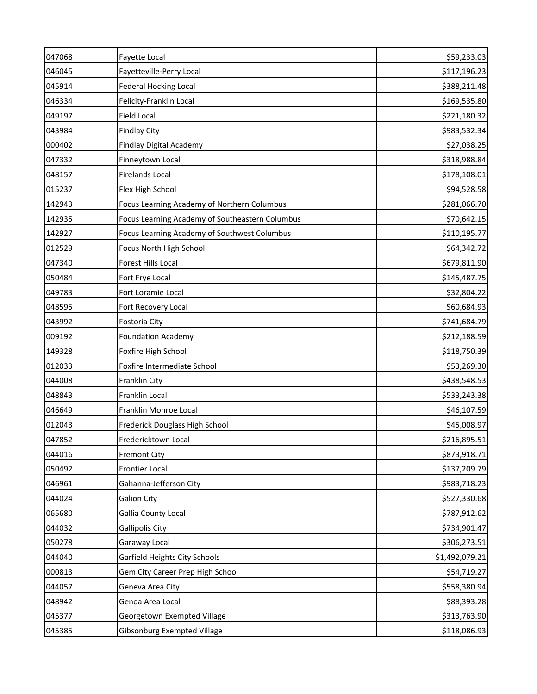| 047068 | Fayette Local                                   | \$59,233.03    |
|--------|-------------------------------------------------|----------------|
| 046045 | Fayetteville-Perry Local                        | \$117,196.23   |
| 045914 | <b>Federal Hocking Local</b>                    | \$388,211.48   |
| 046334 | Felicity-Franklin Local                         | \$169,535.80   |
| 049197 | <b>Field Local</b>                              | \$221,180.32   |
| 043984 | <b>Findlay City</b>                             | \$983,532.34   |
| 000402 | Findlay Digital Academy                         | \$27,038.25    |
| 047332 | Finneytown Local                                | \$318,988.84   |
| 048157 | <b>Firelands Local</b>                          | \$178,108.01   |
| 015237 | Flex High School                                | \$94,528.58    |
| 142943 | Focus Learning Academy of Northern Columbus     | \$281,066.70   |
| 142935 | Focus Learning Academy of Southeastern Columbus | \$70,642.15    |
| 142927 | Focus Learning Academy of Southwest Columbus    | \$110,195.77   |
| 012529 | Focus North High School                         | \$64,342.72    |
| 047340 | Forest Hills Local                              | \$679,811.90   |
| 050484 | Fort Frye Local                                 | \$145,487.75   |
| 049783 | Fort Loramie Local                              | \$32,804.22    |
| 048595 | Fort Recovery Local                             | \$60,684.93    |
| 043992 | Fostoria City                                   | \$741,684.79   |
| 009192 | <b>Foundation Academy</b>                       | \$212,188.59   |
| 149328 | Foxfire High School                             | \$118,750.39   |
| 012033 | Foxfire Intermediate School                     | \$53,269.30    |
| 044008 | Franklin City                                   | \$438,548.53   |
| 048843 | Franklin Local                                  | \$533,243.38   |
| 046649 | Franklin Monroe Local                           | \$46,107.59    |
| 012043 | Frederick Douglass High School                  | \$45,008.97    |
| 047852 | Fredericktown Local                             | \$216,895.51   |
| 044016 | <b>Fremont City</b>                             | \$873,918.71   |
| 050492 | <b>Frontier Local</b>                           | \$137,209.79   |
| 046961 | Gahanna-Jefferson City                          | \$983,718.23   |
| 044024 | <b>Galion City</b>                              | \$527,330.68   |
| 065680 | Gallia County Local                             | \$787,912.62   |
| 044032 | Gallipolis City                                 | \$734,901.47   |
| 050278 | Garaway Local                                   | \$306,273.51   |
| 044040 | Garfield Heights City Schools                   | \$1,492,079.21 |
| 000813 | Gem City Career Prep High School                | \$54,719.27    |
| 044057 | Geneva Area City                                | \$558,380.94   |
| 048942 | Genoa Area Local                                | \$88,393.28    |
| 045377 | Georgetown Exempted Village                     | \$313,763.90   |
| 045385 | Gibsonburg Exempted Village                     | \$118,086.93   |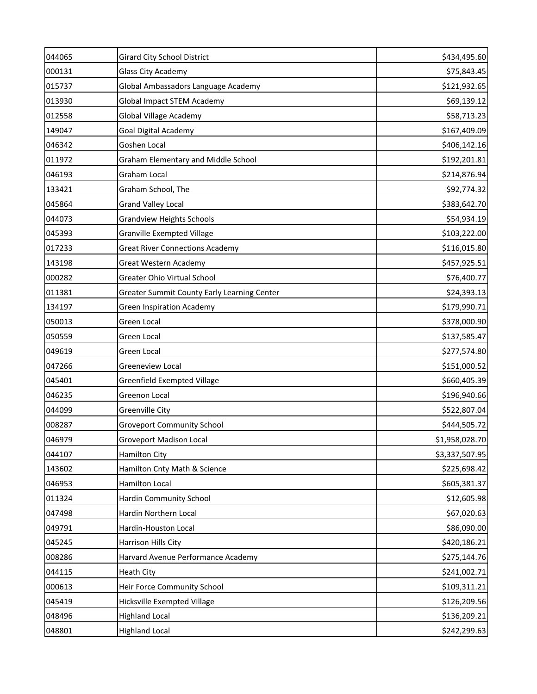| 044065 | <b>Girard City School District</b>          | \$434,495.60   |
|--------|---------------------------------------------|----------------|
| 000131 | Glass City Academy                          | \$75,843.45    |
| 015737 | Global Ambassadors Language Academy         | \$121,932.65   |
| 013930 | <b>Global Impact STEM Academy</b>           | \$69,139.12    |
| 012558 | <b>Global Village Academy</b>               | \$58,713.23    |
| 149047 | Goal Digital Academy                        | \$167,409.09   |
| 046342 | Goshen Local                                | \$406,142.16   |
| 011972 | <b>Graham Elementary and Middle School</b>  | \$192,201.81   |
| 046193 | Graham Local                                | \$214,876.94   |
| 133421 | Graham School, The                          | \$92,774.32    |
| 045864 | <b>Grand Valley Local</b>                   | \$383,642.70   |
| 044073 | <b>Grandview Heights Schools</b>            | \$54,934.19    |
| 045393 | <b>Granville Exempted Village</b>           | \$103,222.00   |
| 017233 | <b>Great River Connections Academy</b>      | \$116,015.80   |
| 143198 | Great Western Academy                       | \$457,925.51   |
| 000282 | Greater Ohio Virtual School                 | \$76,400.77    |
| 011381 | Greater Summit County Early Learning Center | \$24,393.13    |
| 134197 | <b>Green Inspiration Academy</b>            | \$179,990.71   |
| 050013 | Green Local                                 | \$378,000.90   |
| 050559 | Green Local                                 | \$137,585.47   |
| 049619 | Green Local                                 | \$277,574.80   |
| 047266 | Greeneview Local                            | \$151,000.52   |
| 045401 | Greenfield Exempted Village                 | \$660,405.39   |
| 046235 | Greenon Local                               | \$196,940.66   |
| 044099 | Greenville City                             | \$522,807.04   |
| 008287 | <b>Groveport Community School</b>           | \$444,505.72   |
| 046979 | Groveport Madison Local                     | \$1,958,028.70 |
| 044107 | <b>Hamilton City</b>                        | \$3,337,507.95 |
| 143602 | Hamilton Cnty Math & Science                | \$225,698.42   |
| 046953 | Hamilton Local                              | \$605,381.37   |
| 011324 | Hardin Community School                     | \$12,605.98    |
| 047498 | Hardin Northern Local                       | \$67,020.63    |
| 049791 | Hardin-Houston Local                        | \$86,090.00    |
| 045245 | Harrison Hills City                         | \$420,186.21   |
| 008286 | Harvard Avenue Performance Academy          | \$275,144.76   |
| 044115 | <b>Heath City</b>                           | \$241,002.71   |
| 000613 | Heir Force Community School                 | \$109,311.21   |
| 045419 | Hicksville Exempted Village                 | \$126,209.56   |
| 048496 | <b>Highland Local</b>                       | \$136,209.21   |
| 048801 | <b>Highland Local</b>                       | \$242,299.63   |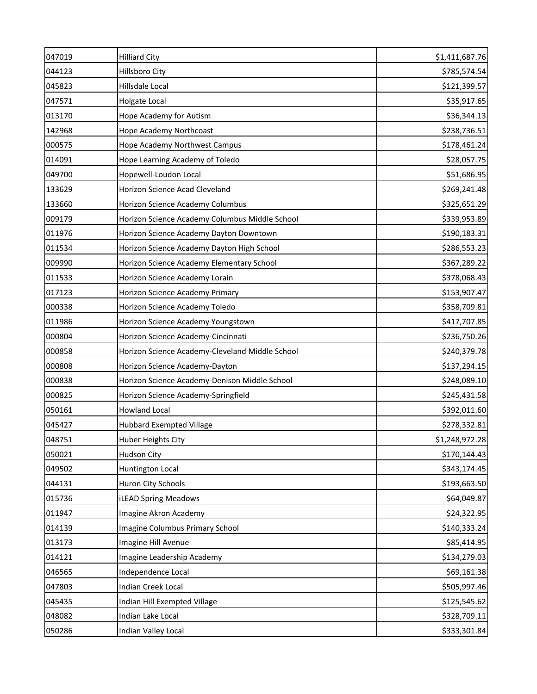| 047019 | <b>Hilliard City</b>                            | \$1,411,687.76 |
|--------|-------------------------------------------------|----------------|
| 044123 | <b>Hillsboro City</b>                           | \$785,574.54   |
| 045823 | Hillsdale Local                                 | \$121,399.57   |
| 047571 | Holgate Local                                   | \$35,917.65    |
| 013170 | Hope Academy for Autism                         | \$36,344.13    |
| 142968 | Hope Academy Northcoast                         | \$238,736.51   |
| 000575 | Hope Academy Northwest Campus                   | \$178,461.24   |
| 014091 | Hope Learning Academy of Toledo                 | \$28,057.75    |
| 049700 | Hopewell-Loudon Local                           | \$51,686.95    |
| 133629 | Horizon Science Acad Cleveland                  | \$269,241.48   |
| 133660 | Horizon Science Academy Columbus                | \$325,651.29   |
| 009179 | Horizon Science Academy Columbus Middle School  | \$339,953.89   |
| 011976 | Horizon Science Academy Dayton Downtown         | \$190,183.31   |
| 011534 | Horizon Science Academy Dayton High School      | \$286,553.23   |
| 009990 | Horizon Science Academy Elementary School       | \$367,289.22   |
| 011533 | Horizon Science Academy Lorain                  | \$378,068.43   |
| 017123 | Horizon Science Academy Primary                 | \$153,907.47   |
| 000338 | Horizon Science Academy Toledo                  | \$358,709.81   |
| 011986 | Horizon Science Academy Youngstown              | \$417,707.85   |
| 000804 | Horizon Science Academy-Cincinnati              | \$236,750.26   |
| 000858 | Horizon Science Academy-Cleveland Middle School | \$240,379.78   |
| 000808 | Horizon Science Academy-Dayton                  | \$137,294.15   |
| 000838 | Horizon Science Academy-Denison Middle School   | \$248,089.10   |
| 000825 | Horizon Science Academy-Springfield             | \$245,431.58   |
| 050161 | <b>Howland Local</b>                            | \$392,011.60   |
| 045427 | <b>Hubbard Exempted Village</b>                 | \$278,332.81   |
| 048751 | Huber Heights City                              | \$1,248,972.28 |
| 050021 | Hudson City                                     | \$170,144.43   |
| 049502 | Huntington Local                                | \$343,174.45   |
| 044131 | Huron City Schools                              | \$193,663.50   |
| 015736 | <b>iLEAD Spring Meadows</b>                     | \$64,049.87    |
| 011947 | Imagine Akron Academy                           | \$24,322.95    |
| 014139 | Imagine Columbus Primary School                 | \$140,333.24   |
| 013173 | Imagine Hill Avenue                             | \$85,414.95    |
| 014121 | Imagine Leadership Academy                      | \$134,279.03   |
| 046565 | Independence Local                              | \$69,161.38    |
| 047803 | Indian Creek Local                              | \$505,997.46   |
| 045435 | Indian Hill Exempted Village                    | \$125,545.62   |
| 048082 | Indian Lake Local                               | \$328,709.11   |
| 050286 | Indian Valley Local                             | \$333,301.84   |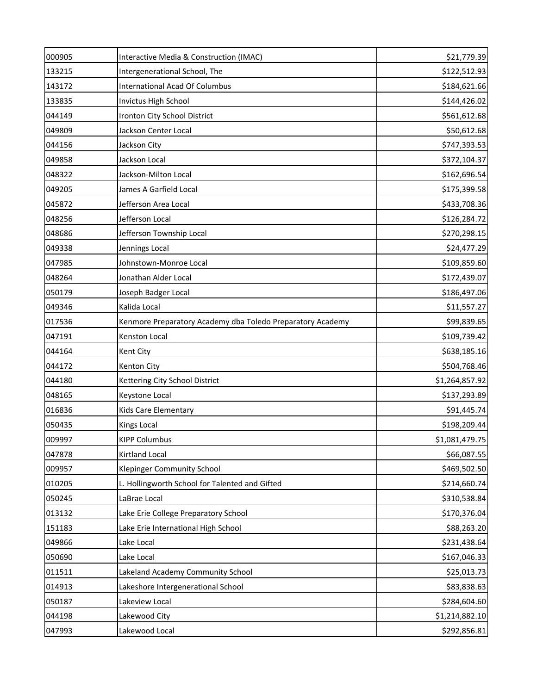| 000905 | Interactive Media & Construction (IMAC)                    | \$21,779.39    |
|--------|------------------------------------------------------------|----------------|
| 133215 | Intergenerational School, The                              | \$122,512.93   |
| 143172 | <b>International Acad Of Columbus</b>                      | \$184,621.66   |
| 133835 | Invictus High School                                       | \$144,426.02   |
| 044149 | Ironton City School District                               | \$561,612.68   |
| 049809 | Jackson Center Local                                       | \$50,612.68    |
| 044156 | Jackson City                                               | \$747,393.53   |
| 049858 | Jackson Local                                              | \$372,104.37   |
| 048322 | Jackson-Milton Local                                       | \$162,696.54   |
| 049205 | James A Garfield Local                                     | \$175,399.58   |
| 045872 | Jefferson Area Local                                       | \$433,708.36   |
| 048256 | Jefferson Local                                            | \$126,284.72   |
| 048686 | Jefferson Township Local                                   | \$270,298.15   |
| 049338 | Jennings Local                                             | \$24,477.29    |
| 047985 | Johnstown-Monroe Local                                     | \$109,859.60   |
| 048264 | Jonathan Alder Local                                       | \$172,439.07   |
| 050179 | Joseph Badger Local                                        | \$186,497.06   |
| 049346 | Kalida Local                                               | \$11,557.27    |
| 017536 | Kenmore Preparatory Academy dba Toledo Preparatory Academy | \$99,839.65    |
| 047191 | Kenston Local                                              | \$109,739.42   |
| 044164 | Kent City                                                  | \$638,185.16   |
| 044172 | Kenton City                                                | \$504,768.46   |
| 044180 | Kettering City School District                             | \$1,264,857.92 |
| 048165 | Keystone Local                                             | \$137,293.89   |
| 016836 | Kids Care Elementary                                       | \$91,445.74    |
| 050435 | Kings Local                                                | \$198,209.44   |
| 009997 | <b>KIPP Columbus</b>                                       | \$1,081,479.75 |
| 047878 | Kirtland Local                                             | \$66,087.55    |
| 009957 | <b>Klepinger Community School</b>                          | \$469,502.50   |
| 010205 | L. Hollingworth School for Talented and Gifted             | \$214,660.74   |
| 050245 | LaBrae Local                                               | \$310,538.84   |
| 013132 | Lake Erie College Preparatory School                       | \$170,376.04   |
| 151183 | Lake Erie International High School                        | \$88,263.20    |
| 049866 | Lake Local                                                 | \$231,438.64   |
| 050690 | Lake Local                                                 | \$167,046.33   |
| 011511 | Lakeland Academy Community School                          | \$25,013.73    |
| 014913 | Lakeshore Intergenerational School                         | \$83,838.63    |
| 050187 | Lakeview Local                                             | \$284,604.60   |
| 044198 | Lakewood City                                              | \$1,214,882.10 |
| 047993 | Lakewood Local                                             | \$292,856.81   |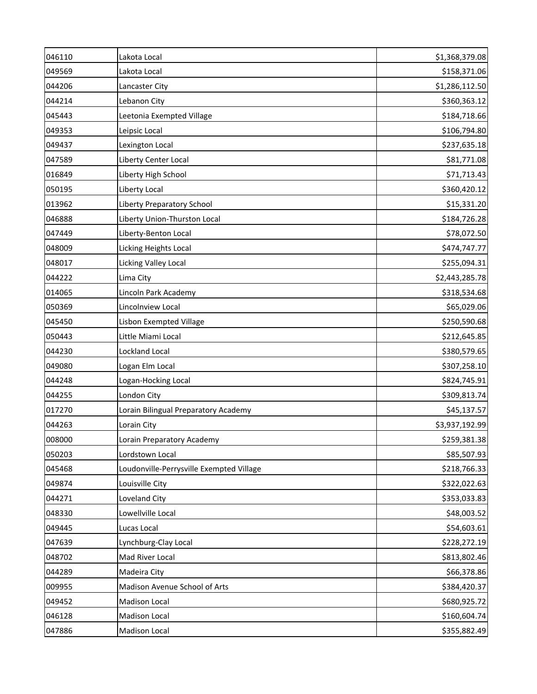| 046110 | Lakota Local                             | \$1,368,379.08 |
|--------|------------------------------------------|----------------|
| 049569 | Lakota Local                             | \$158,371.06   |
| 044206 | Lancaster City                           | \$1,286,112.50 |
| 044214 | Lebanon City                             | \$360,363.12   |
| 045443 | Leetonia Exempted Village                | \$184,718.66   |
| 049353 | Leipsic Local                            | \$106,794.80   |
| 049437 | Lexington Local                          | \$237,635.18   |
| 047589 | Liberty Center Local                     | \$81,771.08    |
| 016849 | Liberty High School                      | \$71,713.43    |
| 050195 | Liberty Local                            | \$360,420.12   |
| 013962 | <b>Liberty Preparatory School</b>        | \$15,331.20    |
| 046888 | Liberty Union-Thurston Local             | \$184,726.28   |
| 047449 | Liberty-Benton Local                     | \$78,072.50    |
| 048009 | Licking Heights Local                    | \$474,747.77   |
| 048017 | Licking Valley Local                     | \$255,094.31   |
| 044222 | Lima City                                | \$2,443,285.78 |
| 014065 | Lincoln Park Academy                     | \$318,534.68   |
| 050369 | Lincolnview Local                        | \$65,029.06    |
| 045450 | Lisbon Exempted Village                  | \$250,590.68   |
| 050443 | Little Miami Local                       | \$212,645.85   |
| 044230 | Lockland Local                           | \$380,579.65   |
| 049080 | Logan Elm Local                          | \$307,258.10   |
| 044248 | Logan-Hocking Local                      | \$824,745.91   |
| 044255 | London City                              | \$309,813.74   |
| 017270 | Lorain Bilingual Preparatory Academy     | \$45,137.57    |
| 044263 | Lorain City                              | \$3,937,192.99 |
| 008000 | Lorain Preparatory Academy               | \$259,381.38   |
| 050203 | Lordstown Local                          | \$85,507.93    |
| 045468 | Loudonville-Perrysville Exempted Village | \$218,766.33   |
| 049874 | Louisville City                          | \$322,022.63   |
| 044271 | Loveland City                            | \$353,033.83   |
| 048330 | Lowellville Local                        | \$48,003.52    |
| 049445 | Lucas Local                              | \$54,603.61    |
| 047639 | Lynchburg-Clay Local                     | \$228,272.19   |
| 048702 | Mad River Local                          | \$813,802.46   |
| 044289 | Madeira City                             | \$66,378.86    |
| 009955 | Madison Avenue School of Arts            | \$384,420.37   |
| 049452 | Madison Local                            | \$680,925.72   |
| 046128 | <b>Madison Local</b>                     | \$160,604.74   |
| 047886 | Madison Local                            | \$355,882.49   |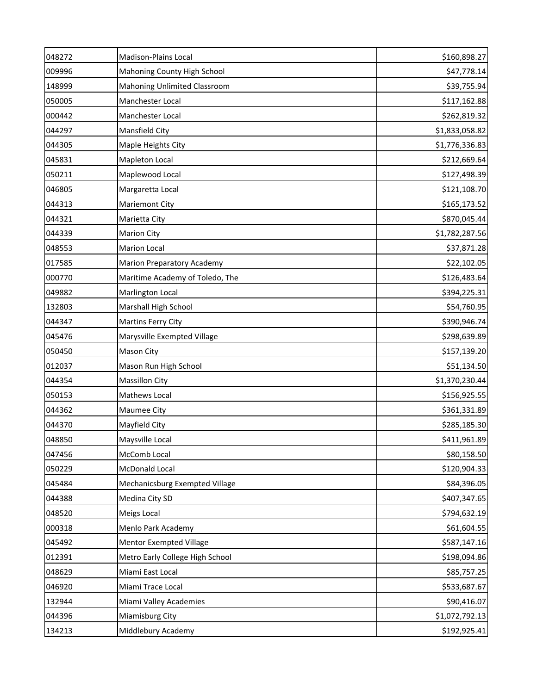| 048272 | Madison-Plains Local              | \$160,898.27   |
|--------|-----------------------------------|----------------|
| 009996 | Mahoning County High School       | \$47,778.14    |
| 148999 | Mahoning Unlimited Classroom      | \$39,755.94    |
| 050005 | Manchester Local                  | \$117,162.88   |
| 000442 | Manchester Local                  | \$262,819.32   |
| 044297 | Mansfield City                    | \$1,833,058.82 |
| 044305 | Maple Heights City                | \$1,776,336.83 |
| 045831 | Mapleton Local                    | \$212,669.64   |
| 050211 | Maplewood Local                   | \$127,498.39   |
| 046805 | Margaretta Local                  | \$121,108.70   |
| 044313 | <b>Mariemont City</b>             | \$165,173.52   |
| 044321 | Marietta City                     | \$870,045.44   |
| 044339 | <b>Marion City</b>                | \$1,782,287.56 |
| 048553 | <b>Marion Local</b>               | \$37,871.28    |
| 017585 | <b>Marion Preparatory Academy</b> | \$22,102.05    |
| 000770 | Maritime Academy of Toledo, The   | \$126,483.64   |
| 049882 | Marlington Local                  | \$394,225.31   |
| 132803 | Marshall High School              | \$54,760.95    |
| 044347 | Martins Ferry City                | \$390,946.74   |
| 045476 | Marysville Exempted Village       | \$298,639.89   |
| 050450 | Mason City                        | \$157,139.20   |
| 012037 | Mason Run High School             | \$51,134.50    |
| 044354 | <b>Massillon City</b>             | \$1,370,230.44 |
| 050153 | Mathews Local                     | \$156,925.55   |
| 044362 | Maumee City                       | \$361,331.89   |
| 044370 | Mayfield City                     | \$285,185.30   |
| 048850 | Maysville Local                   | \$411,961.89   |
| 047456 | McComb Local                      | \$80,158.50    |
| 050229 | <b>McDonald Local</b>             | \$120,904.33   |
| 045484 | Mechanicsburg Exempted Village    | \$84,396.05    |
| 044388 | Medina City SD                    | \$407,347.65   |
| 048520 | Meigs Local                       | \$794,632.19   |
| 000318 | Menlo Park Academy                | \$61,604.55    |
| 045492 | <b>Mentor Exempted Village</b>    | \$587,147.16   |
| 012391 | Metro Early College High School   | \$198,094.86   |
| 048629 | Miami East Local                  | \$85,757.25    |
| 046920 | Miami Trace Local                 | \$533,687.67   |
| 132944 | Miami Valley Academies            | \$90,416.07    |
| 044396 | Miamisburg City                   | \$1,072,792.13 |
| 134213 | Middlebury Academy                | \$192,925.41   |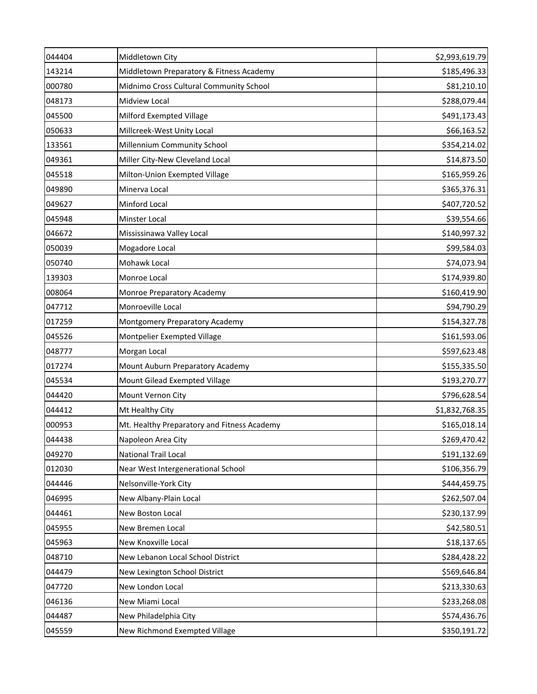| 044404 | Middletown City                             | \$2,993,619.79 |
|--------|---------------------------------------------|----------------|
| 143214 | Middletown Preparatory & Fitness Academy    | \$185,496.33   |
| 000780 | Midnimo Cross Cultural Community School     | \$81,210.10    |
| 048173 | Midview Local                               | \$288,079.44   |
| 045500 | Milford Exempted Village                    | \$491,173.43   |
| 050633 | Millcreek-West Unity Local                  | \$66,163.52    |
| 133561 | Millennium Community School                 | \$354,214.02   |
| 049361 | Miller City-New Cleveland Local             | \$14,873.50    |
| 045518 | Milton-Union Exempted Village               | \$165,959.26   |
| 049890 | Minerva Local                               | \$365,376.31   |
| 049627 | Minford Local                               | \$407,720.52   |
| 045948 | Minster Local                               | \$39,554.66    |
| 046672 | Mississinawa Valley Local                   | \$140,997.32   |
| 050039 | Mogadore Local                              | \$99,584.03    |
| 050740 | Mohawk Local                                | \$74,073.94    |
| 139303 | Monroe Local                                | \$174,939.80   |
| 008064 | Monroe Preparatory Academy                  | \$160,419.90   |
| 047712 | Monroeville Local                           | \$94,790.29    |
| 017259 | Montgomery Preparatory Academy              | \$154,327.78   |
| 045526 | Montpelier Exempted Village                 | \$161,593.06   |
| 048777 | Morgan Local                                | \$597,623.48   |
| 017274 | Mount Auburn Preparatory Academy            | \$155,335.50   |
| 045534 | Mount Gilead Exempted Village               | \$193,270.77   |
| 044420 | Mount Vernon City                           | \$796,628.54   |
| 044412 | Mt Healthy City                             | \$1,832,768.35 |
| 000953 | Mt. Healthy Preparatory and Fitness Academy | \$165,018.14   |
| 044438 | Napoleon Area City                          | \$269,470.42   |
| 049270 | National Trail Local                        | \$191,132.69   |
| 012030 | Near West Intergenerational School          | \$106,356.79   |
| 044446 | Nelsonville-York City                       | \$444,459.75   |
| 046995 | New Albany-Plain Local                      | \$262,507.04   |
| 044461 | New Boston Local                            | \$230,137.99   |
| 045955 | New Bremen Local                            | \$42,580.51    |
| 045963 | New Knoxville Local                         | \$18,137.65    |
| 048710 | New Lebanon Local School District           | \$284,428.22   |
| 044479 | New Lexington School District               | \$569,646.84   |
| 047720 | New London Local                            | \$213,330.63   |
| 046136 | New Miami Local                             | \$233,268.08   |
| 044487 | New Philadelphia City                       | \$574,436.76   |
| 045559 | New Richmond Exempted Village               | \$350,191.72   |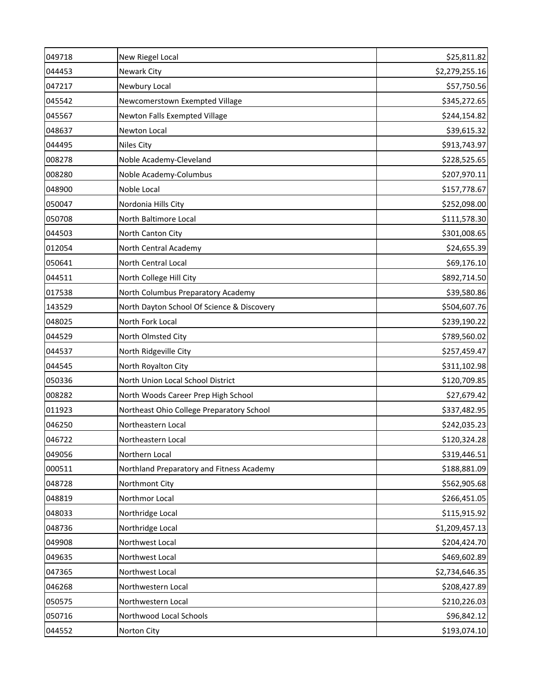| 049718 | New Riegel Local                           | \$25,811.82    |
|--------|--------------------------------------------|----------------|
| 044453 | Newark City                                | \$2,279,255.16 |
| 047217 | Newbury Local                              | \$57,750.56    |
| 045542 | Newcomerstown Exempted Village             | \$345,272.65   |
| 045567 | Newton Falls Exempted Village              | \$244,154.82   |
| 048637 | Newton Local                               | \$39,615.32    |
| 044495 | <b>Niles City</b>                          | \$913,743.97   |
| 008278 | Noble Academy-Cleveland                    | \$228,525.65   |
| 008280 | Noble Academy-Columbus                     | \$207,970.11   |
| 048900 | Noble Local                                | \$157,778.67   |
| 050047 | Nordonia Hills City                        | \$252,098.00   |
| 050708 | North Baltimore Local                      | \$111,578.30   |
| 044503 | North Canton City                          | \$301,008.65   |
| 012054 | North Central Academy                      | \$24,655.39    |
| 050641 | North Central Local                        | \$69,176.10    |
| 044511 | North College Hill City                    | \$892,714.50   |
| 017538 | North Columbus Preparatory Academy         | \$39,580.86    |
| 143529 | North Dayton School Of Science & Discovery | \$504,607.76   |
| 048025 | North Fork Local                           | \$239,190.22   |
| 044529 | North Olmsted City                         | \$789,560.02   |
| 044537 | North Ridgeville City                      | \$257,459.47   |
| 044545 | North Royalton City                        | \$311,102.98   |
| 050336 | North Union Local School District          | \$120,709.85   |
| 008282 | North Woods Career Prep High School        | \$27,679.42    |
| 011923 | Northeast Ohio College Preparatory School  | \$337,482.95   |
| 046250 | Northeastern Local                         | \$242,035.23   |
| 046722 | Northeastern Local                         | \$120,324.28   |
| 049056 | Northern Local                             | \$319,446.51   |
| 000511 | Northland Preparatory and Fitness Academy  | \$188,881.09   |
| 048728 | Northmont City                             | \$562,905.68   |
| 048819 | Northmor Local                             | \$266,451.05   |
| 048033 | Northridge Local                           | \$115,915.92   |
| 048736 | Northridge Local                           | \$1,209,457.13 |
| 049908 | Northwest Local                            | \$204,424.70   |
| 049635 | Northwest Local                            | \$469,602.89   |
| 047365 | Northwest Local                            | \$2,734,646.35 |
| 046268 | Northwestern Local                         | \$208,427.89   |
| 050575 | Northwestern Local                         | \$210,226.03   |
| 050716 | Northwood Local Schools                    | \$96,842.12    |
| 044552 | Norton City                                | \$193,074.10   |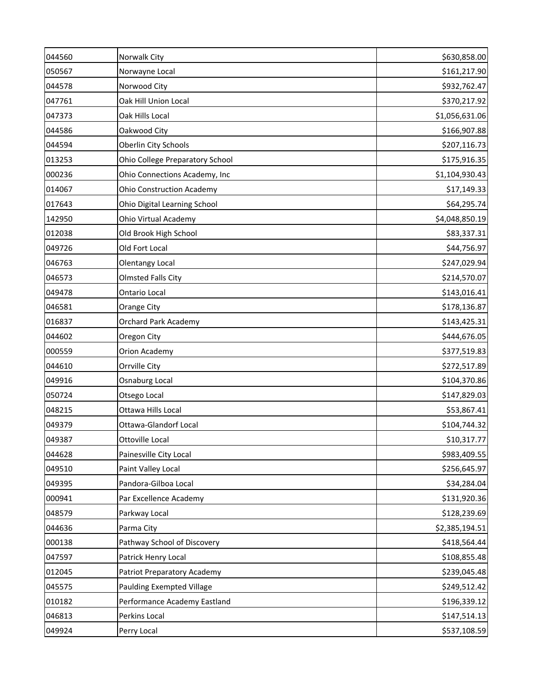| 044560 | Norwalk City                       | \$630,858.00   |
|--------|------------------------------------|----------------|
| 050567 | Norwayne Local                     | \$161,217.90   |
| 044578 | Norwood City                       | \$932,762.47   |
| 047761 | Oak Hill Union Local               | \$370,217.92   |
| 047373 | Oak Hills Local                    | \$1,056,631.06 |
| 044586 | Oakwood City                       | \$166,907.88   |
| 044594 | Oberlin City Schools               | \$207,116.73   |
| 013253 | Ohio College Preparatory School    | \$175,916.35   |
| 000236 | Ohio Connections Academy, Inc      | \$1,104,930.43 |
| 014067 | <b>Ohio Construction Academy</b>   | \$17,149.33    |
| 017643 | Ohio Digital Learning School       | \$64,295.74    |
| 142950 | Ohio Virtual Academy               | \$4,048,850.19 |
| 012038 | Old Brook High School              | \$83,337.31    |
| 049726 | Old Fort Local                     | \$44,756.97    |
| 046763 | Olentangy Local                    | \$247,029.94   |
| 046573 | <b>Olmsted Falls City</b>          | \$214,570.07   |
| 049478 | Ontario Local                      | \$143,016.41   |
| 046581 | <b>Orange City</b>                 | \$178,136.87   |
| 016837 | <b>Orchard Park Academy</b>        | \$143,425.31   |
| 044602 | Oregon City                        | \$444,676.05   |
| 000559 | Orion Academy                      | \$377,519.83   |
| 044610 | Orrville City                      | \$272,517.89   |
| 049916 | Osnaburg Local                     | \$104,370.86   |
| 050724 | Otsego Local                       | \$147,829.03   |
| 048215 | Ottawa Hills Local                 | \$53,867.41    |
| 049379 | <b>Ottawa-Glandorf Local</b>       | \$104,744.32   |
| 049387 | Ottoville Local                    | \$10,317.77    |
| 044628 | Painesville City Local             | \$983,409.55   |
| 049510 | Paint Valley Local                 | \$256,645.97   |
| 049395 | Pandora-Gilboa Local               | \$34,284.04    |
| 000941 | Par Excellence Academy             | \$131,920.36   |
| 048579 | Parkway Local                      | \$128,239.69   |
| 044636 | Parma City                         | \$2,385,194.51 |
| 000138 | Pathway School of Discovery        | \$418,564.44   |
| 047597 | Patrick Henry Local                | \$108,855.48   |
| 012045 | <b>Patriot Preparatory Academy</b> | \$239,045.48   |
| 045575 | <b>Paulding Exempted Village</b>   | \$249,512.42   |
| 010182 | Performance Academy Eastland       | \$196,339.12   |
| 046813 | Perkins Local                      | \$147,514.13   |
| 049924 | Perry Local                        | \$537,108.59   |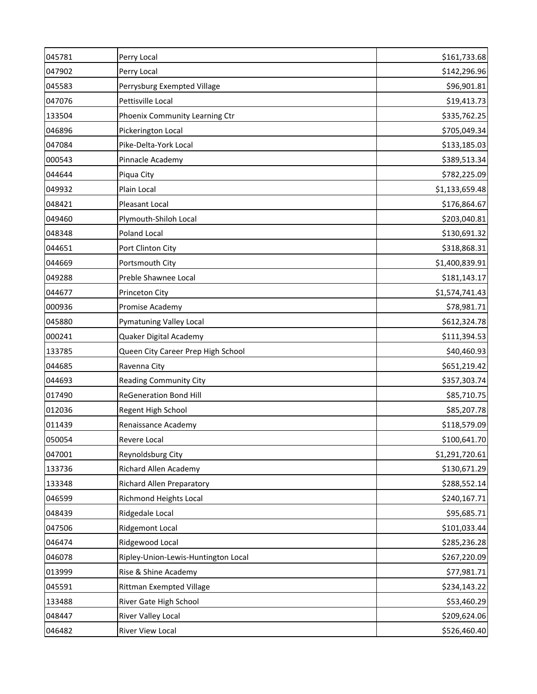| 045781 | Perry Local                         | \$161,733.68   |
|--------|-------------------------------------|----------------|
| 047902 | Perry Local                         | \$142,296.96   |
| 045583 | Perrysburg Exempted Village         | \$96,901.81    |
| 047076 | Pettisville Local                   | \$19,413.73    |
| 133504 | Phoenix Community Learning Ctr      | \$335,762.25   |
| 046896 | Pickerington Local                  | \$705,049.34   |
| 047084 | Pike-Delta-York Local               | \$133,185.03   |
| 000543 | Pinnacle Academy                    | \$389,513.34   |
| 044644 | Piqua City                          | \$782,225.09   |
| 049932 | Plain Local                         | \$1,133,659.48 |
| 048421 | Pleasant Local                      | \$176,864.67   |
| 049460 | Plymouth-Shiloh Local               | \$203,040.81   |
| 048348 | Poland Local                        | \$130,691.32   |
| 044651 | Port Clinton City                   | \$318,868.31   |
| 044669 | Portsmouth City                     | \$1,400,839.91 |
| 049288 | Preble Shawnee Local                | \$181,143.17   |
| 044677 | Princeton City                      | \$1,574,741.43 |
| 000936 | Promise Academy                     | \$78,981.71    |
| 045880 | Pymatuning Valley Local             | \$612,324.78   |
| 000241 | Quaker Digital Academy              | \$111,394.53   |
| 133785 | Queen City Career Prep High School  | \$40,460.93    |
| 044685 | Ravenna City                        | \$651,219.42   |
| 044693 | <b>Reading Community City</b>       | \$357,303.74   |
| 017490 | <b>ReGeneration Bond Hill</b>       | \$85,710.75    |
| 012036 | Regent High School                  | \$85,207.78    |
| 011439 | Renaissance Academy                 | \$118,579.09   |
| 050054 | Revere Local                        | \$100,641.70   |
| 047001 | Reynoldsburg City                   | \$1,291,720.61 |
| 133736 | Richard Allen Academy               | \$130,671.29   |
| 133348 | <b>Richard Allen Preparatory</b>    | \$288,552.14   |
| 046599 | Richmond Heights Local              | \$240,167.71   |
| 048439 | Ridgedale Local                     | \$95,685.71    |
| 047506 | <b>Ridgemont Local</b>              | \$101,033.44   |
| 046474 | Ridgewood Local                     | \$285,236.28   |
| 046078 | Ripley-Union-Lewis-Huntington Local | \$267,220.09   |
| 013999 | Rise & Shine Academy                | \$77,981.71    |
| 045591 | <b>Rittman Exempted Village</b>     | \$234,143.22   |
| 133488 | River Gate High School              | \$53,460.29    |
| 048447 | <b>River Valley Local</b>           | \$209,624.06   |
| 046482 | River View Local                    | \$526,460.40   |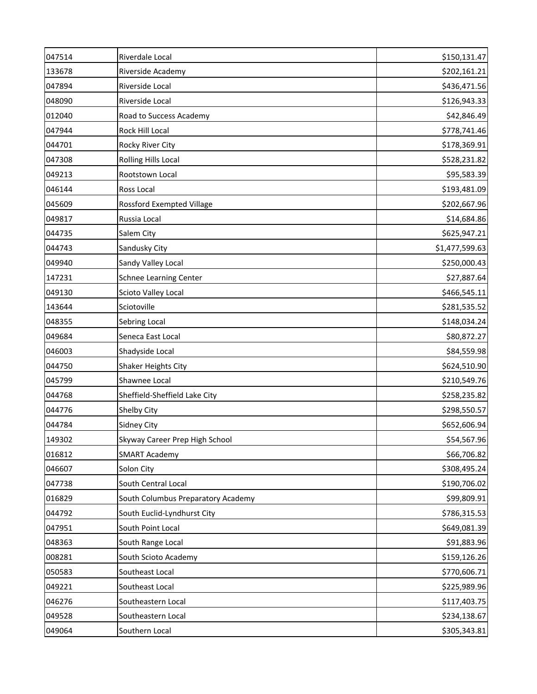| 047514 | Riverdale Local                    | \$150,131.47   |
|--------|------------------------------------|----------------|
| 133678 | Riverside Academy                  | \$202,161.21   |
| 047894 | Riverside Local                    | \$436,471.56   |
| 048090 | Riverside Local                    | \$126,943.33   |
| 012040 | Road to Success Academy            | \$42,846.49    |
| 047944 | Rock Hill Local                    | \$778,741.46   |
| 044701 | Rocky River City                   | \$178,369.91   |
| 047308 | <b>Rolling Hills Local</b>         | \$528,231.82   |
| 049213 | Rootstown Local                    | \$95,583.39    |
| 046144 | Ross Local                         | \$193,481.09   |
| 045609 | Rossford Exempted Village          | \$202,667.96   |
| 049817 | Russia Local                       | \$14,684.86    |
| 044735 | Salem City                         | \$625,947.21   |
| 044743 | Sandusky City                      | \$1,477,599.63 |
| 049940 | Sandy Valley Local                 | \$250,000.43   |
| 147231 | <b>Schnee Learning Center</b>      | \$27,887.64    |
| 049130 | Scioto Valley Local                | \$466,545.11   |
| 143644 | Sciotoville                        | \$281,535.52   |
| 048355 | Sebring Local                      | \$148,034.24   |
| 049684 | Seneca East Local                  | \$80,872.27    |
| 046003 | Shadyside Local                    | \$84,559.98    |
| 044750 | Shaker Heights City                | \$624,510.90   |
| 045799 | Shawnee Local                      | \$210,549.76   |
| 044768 | Sheffield-Sheffield Lake City      | \$258,235.82   |
| 044776 | Shelby City                        | \$298,550.57   |
| 044784 | Sidney City                        | \$652,606.94   |
| 149302 | Skyway Career Prep High School     | \$54,567.96    |
| 016812 | <b>SMART Academy</b>               | \$66,706.82    |
| 046607 | Solon City                         | \$308,495.24   |
| 047738 | South Central Local                | \$190,706.02   |
| 016829 | South Columbus Preparatory Academy | \$99,809.91    |
| 044792 | South Euclid-Lyndhurst City        | \$786,315.53   |
| 047951 | South Point Local                  | \$649,081.39   |
| 048363 | South Range Local                  | \$91,883.96    |
| 008281 | South Scioto Academy               | \$159,126.26   |
| 050583 | Southeast Local                    | \$770,606.71   |
| 049221 | Southeast Local                    | \$225,989.96   |
| 046276 | Southeastern Local                 | \$117,403.75   |
| 049528 | Southeastern Local                 | \$234,138.67   |
| 049064 | Southern Local                     | \$305,343.81   |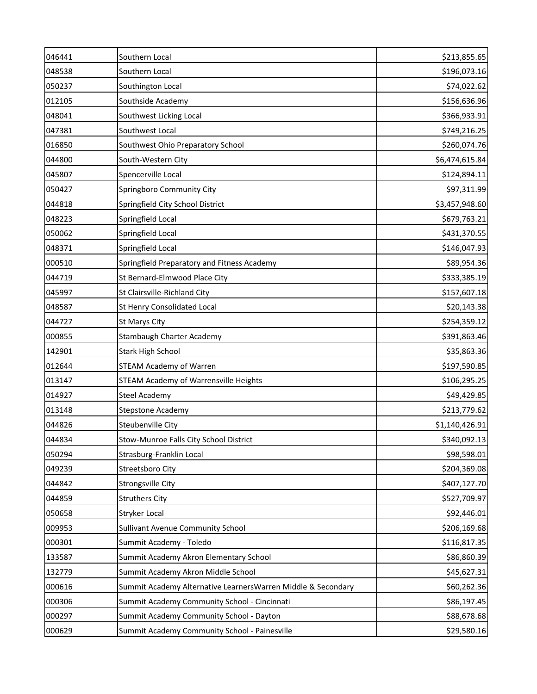| 046441 | Southern Local                                               | \$213,855.65   |
|--------|--------------------------------------------------------------|----------------|
| 048538 | Southern Local                                               | \$196,073.16   |
| 050237 | Southington Local                                            | \$74,022.62    |
| 012105 | Southside Academy                                            | \$156,636.96   |
| 048041 | Southwest Licking Local                                      | \$366,933.91   |
| 047381 | Southwest Local                                              | \$749,216.25   |
| 016850 | Southwest Ohio Preparatory School                            | \$260,074.76   |
| 044800 | South-Western City                                           | \$6,474,615.84 |
| 045807 | Spencerville Local                                           | \$124,894.11   |
| 050427 | Springboro Community City                                    | \$97,311.99    |
| 044818 | Springfield City School District                             | \$3,457,948.60 |
| 048223 | Springfield Local                                            | \$679,763.21   |
| 050062 | Springfield Local                                            | \$431,370.55   |
| 048371 | Springfield Local                                            | \$146,047.93   |
| 000510 | Springfield Preparatory and Fitness Academy                  | \$89,954.36    |
| 044719 | St Bernard-Elmwood Place City                                | \$333,385.19   |
| 045997 | St Clairsville-Richland City                                 | \$157,607.18   |
| 048587 | St Henry Consolidated Local                                  | \$20,143.38    |
| 044727 | St Marys City                                                | \$254,359.12   |
| 000855 | Stambaugh Charter Academy                                    | \$391,863.46   |
| 142901 | <b>Stark High School</b>                                     | \$35,863.36    |
| 012644 | <b>STEAM Academy of Warren</b>                               | \$197,590.85   |
| 013147 | STEAM Academy of Warrensville Heights                        | \$106,295.25   |
| 014927 | <b>Steel Academy</b>                                         | \$49,429.85    |
| 013148 | <b>Stepstone Academy</b>                                     | \$213,779.62   |
| 044826 | Steubenville City                                            | \$1,140,426.91 |
| 044834 | Stow-Munroe Falls City School District                       | \$340,092.13   |
| 050294 | Strasburg-Franklin Local                                     | \$98,598.01    |
| 049239 | Streetsboro City                                             | \$204,369.08   |
| 044842 | Strongsville City                                            | \$407,127.70   |
| 044859 | <b>Struthers City</b>                                        | \$527,709.97   |
| 050658 | <b>Stryker Local</b>                                         | \$92,446.01    |
| 009953 | Sullivant Avenue Community School                            | \$206,169.68   |
| 000301 | Summit Academy - Toledo                                      | \$116,817.35   |
| 133587 | Summit Academy Akron Elementary School                       | \$86,860.39    |
| 132779 | Summit Academy Akron Middle School                           | \$45,627.31    |
| 000616 | Summit Academy Alternative LearnersWarren Middle & Secondary | \$60,262.36    |
| 000306 | Summit Academy Community School - Cincinnati                 | \$86,197.45    |
| 000297 | Summit Academy Community School - Dayton                     | \$88,678.68    |
| 000629 | Summit Academy Community School - Painesville                | \$29,580.16    |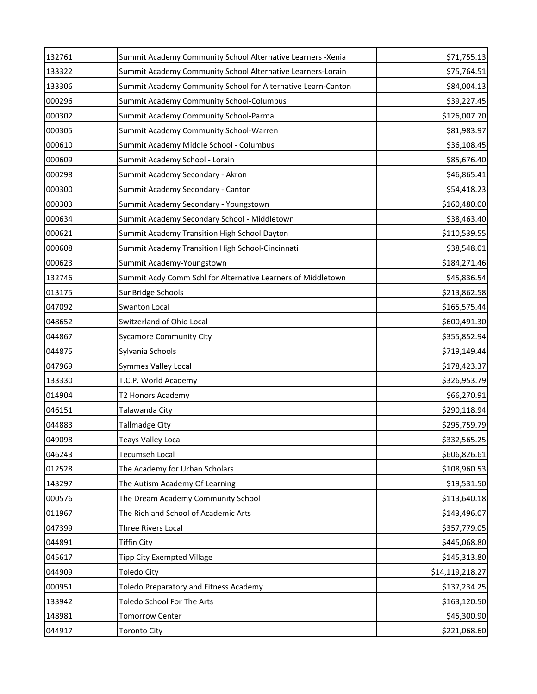| 132761 | Summit Academy Community School Alternative Learners -Xenia  | \$71,755.13     |
|--------|--------------------------------------------------------------|-----------------|
| 133322 | Summit Academy Community School Alternative Learners-Lorain  | \$75,764.51     |
| 133306 | Summit Academy Community School for Alternative Learn-Canton | \$84,004.13     |
| 000296 | Summit Academy Community School-Columbus                     | \$39,227.45     |
| 000302 | Summit Academy Community School-Parma                        | \$126,007.70    |
| 000305 | Summit Academy Community School-Warren                       | \$81,983.97     |
| 000610 | Summit Academy Middle School - Columbus                      | \$36,108.45     |
| 000609 | Summit Academy School - Lorain                               | \$85,676.40     |
| 000298 | Summit Academy Secondary - Akron                             | \$46,865.41     |
| 000300 | Summit Academy Secondary - Canton                            | \$54,418.23     |
| 000303 | Summit Academy Secondary - Youngstown                        | \$160,480.00    |
| 000634 | Summit Academy Secondary School - Middletown                 | \$38,463.40     |
| 000621 | Summit Academy Transition High School Dayton                 | \$110,539.55    |
| 000608 | Summit Academy Transition High School-Cincinnati             | \$38,548.01     |
| 000623 | Summit Academy-Youngstown                                    | \$184,271.46    |
| 132746 | Summit Acdy Comm Schl for Alternative Learners of Middletown | \$45,836.54     |
| 013175 | SunBridge Schools                                            | \$213,862.58    |
| 047092 | Swanton Local                                                | \$165,575.44    |
| 048652 | Switzerland of Ohio Local                                    | \$600,491.30    |
| 044867 | <b>Sycamore Community City</b>                               | \$355,852.94    |
| 044875 | Sylvania Schools                                             | \$719,149.44    |
| 047969 | Symmes Valley Local                                          | \$178,423.37    |
| 133330 | T.C.P. World Academy                                         | \$326,953.79    |
| 014904 | T2 Honors Academy                                            | \$66,270.91     |
| 046151 | Talawanda City                                               | \$290,118.94    |
| 044883 | <b>Tallmadge City</b>                                        | \$295,759.79    |
| 049098 | <b>Teays Valley Local</b>                                    | \$332,565.25    |
| 046243 | Tecumseh Local                                               | \$606,826.61    |
| 012528 | The Academy for Urban Scholars                               | \$108,960.53    |
| 143297 | The Autism Academy Of Learning                               | \$19,531.50     |
| 000576 | The Dream Academy Community School                           | \$113,640.18    |
| 011967 | The Richland School of Academic Arts                         | \$143,496.07    |
| 047399 | Three Rivers Local                                           | \$357,779.05    |
| 044891 | Tiffin City                                                  | \$445,068.80    |
| 045617 | <b>Tipp City Exempted Village</b>                            | \$145,313.80    |
| 044909 | <b>Toledo City</b>                                           | \$14,119,218.27 |
| 000951 | Toledo Preparatory and Fitness Academy                       | \$137,234.25    |
| 133942 | Toledo School For The Arts                                   | \$163,120.50    |
| 148981 | <b>Tomorrow Center</b>                                       | \$45,300.90     |
| 044917 | <b>Toronto City</b>                                          | \$221,068.60    |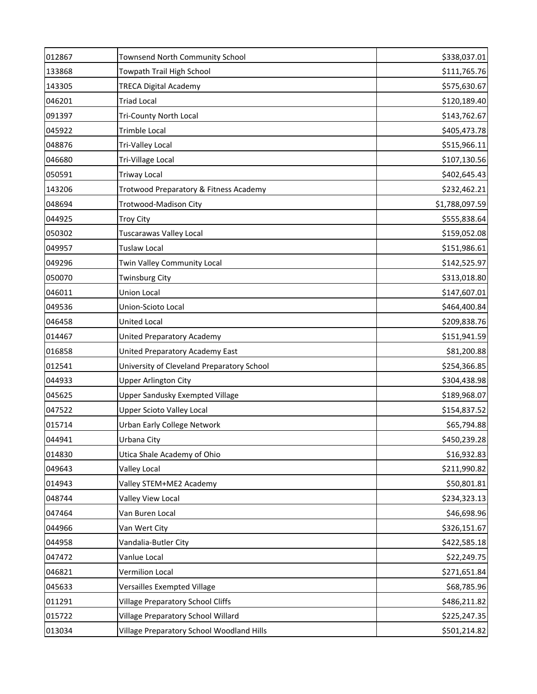| 012867 | Townsend North Community School            | \$338,037.01   |
|--------|--------------------------------------------|----------------|
| 133868 | Towpath Trail High School                  | \$111,765.76   |
| 143305 | <b>TRECA Digital Academy</b>               | \$575,630.67   |
| 046201 | <b>Triad Local</b>                         | \$120,189.40   |
| 091397 | <b>Tri-County North Local</b>              | \$143,762.67   |
| 045922 | Trimble Local                              | \$405,473.78   |
| 048876 | Tri-Valley Local                           | \$515,966.11   |
| 046680 | Tri-Village Local                          | \$107,130.56   |
| 050591 | <b>Triway Local</b>                        | \$402,645.43   |
| 143206 | Trotwood Preparatory & Fitness Academy     | \$232,462.21   |
| 048694 | Trotwood-Madison City                      | \$1,788,097.59 |
| 044925 | <b>Troy City</b>                           | \$555,838.64   |
| 050302 | Tuscarawas Valley Local                    | \$159,052.08   |
| 049957 | <b>Tuslaw Local</b>                        | \$151,986.61   |
| 049296 | Twin Valley Community Local                | \$142,525.97   |
| 050070 | <b>Twinsburg City</b>                      | \$313,018.80   |
| 046011 | <b>Union Local</b>                         | \$147,607.01   |
| 049536 | Union-Scioto Local                         | \$464,400.84   |
| 046458 | <b>United Local</b>                        | \$209,838.76   |
| 014467 | United Preparatory Academy                 | \$151,941.59   |
| 016858 | United Preparatory Academy East            | \$81,200.88    |
| 012541 | University of Cleveland Preparatory School | \$254,366.85   |
| 044933 | <b>Upper Arlington City</b>                | \$304,438.98   |
| 045625 | <b>Upper Sandusky Exempted Village</b>     | \$189,968.07   |
| 047522 | <b>Upper Scioto Valley Local</b>           | \$154,837.52   |
| 015714 | Urban Early College Network                | \$65,794.88    |
| 044941 | Urbana City                                | \$450,239.28   |
| 014830 | Utica Shale Academy of Ohio                | \$16,932.83    |
| 049643 | Valley Local                               | \$211,990.82   |
| 014943 | Valley STEM+ME2 Academy                    | \$50,801.81    |
| 048744 | Valley View Local                          | \$234,323.13   |
| 047464 | Van Buren Local                            | \$46,698.96    |
| 044966 | Van Wert City                              | \$326,151.67   |
| 044958 | Vandalia-Butler City                       | \$422,585.18   |
| 047472 | Vanlue Local                               | \$22,249.75    |
| 046821 | Vermilion Local                            | \$271,651.84   |
| 045633 | Versailles Exempted Village                | \$68,785.96    |
| 011291 | <b>Village Preparatory School Cliffs</b>   | \$486,211.82   |
| 015722 | Village Preparatory School Willard         | \$225,247.35   |
| 013034 | Village Preparatory School Woodland Hills  | \$501,214.82   |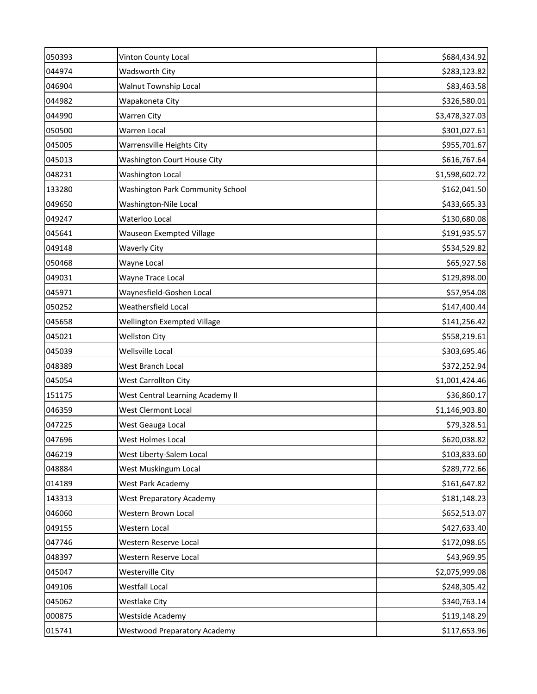| 050393 | Vinton County Local                     | \$684,434.92   |
|--------|-----------------------------------------|----------------|
| 044974 | <b>Wadsworth City</b>                   | \$283,123.82   |
| 046904 | <b>Walnut Township Local</b>            | \$83,463.58    |
| 044982 | Wapakoneta City                         | \$326,580.01   |
| 044990 | Warren City                             | \$3,478,327.03 |
| 050500 | Warren Local                            | \$301,027.61   |
| 045005 | Warrensville Heights City               | \$955,701.67   |
| 045013 | Washington Court House City             | \$616,767.64   |
| 048231 | <b>Washington Local</b>                 | \$1,598,602.72 |
| 133280 | <b>Washington Park Community School</b> | \$162,041.50   |
| 049650 | Washington-Nile Local                   | \$433,665.33   |
| 049247 | Waterloo Local                          | \$130,680.08   |
| 045641 | <b>Wauseon Exempted Village</b>         | \$191,935.57   |
| 049148 | <b>Waverly City</b>                     | \$534,529.82   |
| 050468 | Wayne Local                             | \$65,927.58    |
| 049031 | Wayne Trace Local                       | \$129,898.00   |
| 045971 | Waynesfield-Goshen Local                | \$57,954.08    |
| 050252 | Weathersfield Local                     | \$147,400.44   |
| 045658 | Wellington Exempted Village             | \$141,256.42   |
| 045021 | <b>Wellston City</b>                    | \$558,219.61   |
| 045039 | Wellsville Local                        | \$303,695.46   |
| 048389 | West Branch Local                       | \$372,252.94   |
| 045054 | <b>West Carrollton City</b>             | \$1,001,424.46 |
| 151175 | West Central Learning Academy II        | \$36,860.17    |
| 046359 | West Clermont Local                     | \$1,146,903.80 |
| 047225 | West Geauga Local                       | \$79,328.51    |
| 047696 | West Holmes Local                       | \$620,038.82   |
| 046219 | West Liberty-Salem Local                | \$103,833.60   |
| 048884 | West Muskingum Local                    | \$289,772.66   |
| 014189 | West Park Academy                       | \$161,647.82   |
| 143313 | <b>West Preparatory Academy</b>         | \$181,148.23   |
| 046060 | Western Brown Local                     | \$652,513.07   |
| 049155 | Western Local                           | \$427,633.40   |
| 047746 | Western Reserve Local                   | \$172,098.65   |
| 048397 | Western Reserve Local                   | \$43,969.95    |
| 045047 | Westerville City                        | \$2,075,999.08 |
| 049106 | Westfall Local                          | \$248,305.42   |
| 045062 | Westlake City                           | \$340,763.14   |
| 000875 | Westside Academy                        | \$119,148.29   |
| 015741 | <b>Westwood Preparatory Academy</b>     | \$117,653.96   |